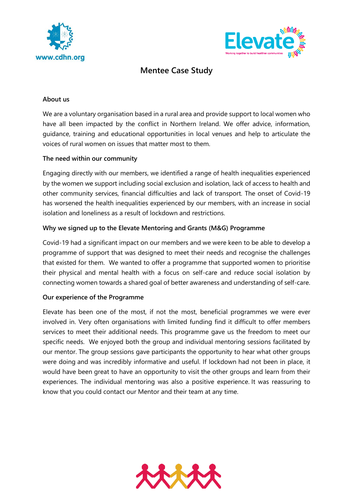



# **Mentee Case Study**

## **About us**

We are a voluntary organisation based in a rural area and provide support to local women who have all been impacted by the conflict in Northern Ireland. We offer advice, information, guidance, training and educational opportunities in local venues and help to articulate the voices of rural women on issues that matter most to them.

### **The need within our community**

Engaging directly with our members, we identified a range of health inequalities experienced by the women we support including social exclusion and isolation, lack of access to health and other community services, financial difficulties and lack of transport. The onset of Covid-19 has worsened the health inequalities experienced by our members, with an increase in social isolation and loneliness as a result of lockdown and restrictions.

### **Why we signed up to the Elevate Mentoring and Grants (M&G) Programme**

Covid-19 had a significant impact on our members and we were keen to be able to develop a programme of support that was designed to meet their needs and recognise the challenges that existed for them. We wanted to offer a programme that supported women to prioritise their physical and mental health with a focus on self-care and reduce social isolation by connecting women towards a shared goal of better awareness and understanding of self-care.

### **Our experience of the Programme**

Elevate has been one of the most, if not the most, beneficial programmes we were ever involved in. Very often organisations with limited funding find it difficult to offer members services to meet their additional needs. This programme gave us the freedom to meet our specific needs. We enjoyed both the group and individual mentoring sessions facilitated by our mentor. The group sessions gave participants the opportunity to hear what other groups were doing and was incredibly informative and useful. If lockdown had not been in place, it would have been great to have an opportunity to visit the other groups and learn from their experiences. The individual mentoring was also a positive experience. It was reassuring to know that you could contact our Mentor and their team at any time.